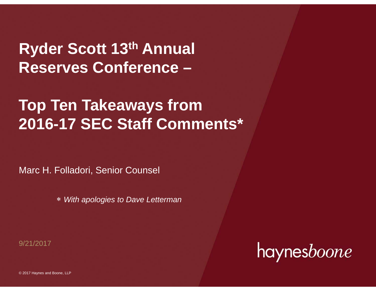**Ryder Scott 13th Annual Reserves Conference –**

# **Top Ten Takeaways from 2016-17 SEC Staff Comments\***

Marc H. Folladori, Senior Counsel

*With apologies to Dave Letterman*

9/21/2017

haynesboone

© 2017 Haynes and Boone, LLP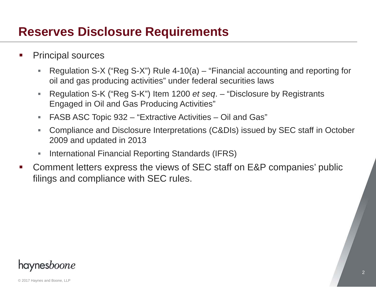### **Reserves Disclosure Requirements**

- Principal sources
	- г Regulation S-X ("Reg S-X") Rule 4-10(a) – "Financial accounting and reporting for oil and gas producing activities" under federal securities laws
	- ×. Regulation S-K ("Reg S-K") Item 1200 *et seq*. – "Disclosure by Registrants Engaged in Oil and Gas Producing Activities"
	- ш FASB ASC Topic 932 – "Extractive Activities – Oil and Gas"
	- ×. Compliance and Disclosure Interpretations (C&DIs) issued by SEC staff in October 2009 and updated in 2013
	- International Financial Reporting Standards (IFRS)
- $\mathcal{L}(\mathcal{L})$  Comment letters express the views of SEC staff on E&P companies' public filings and compliance with SEC rules.

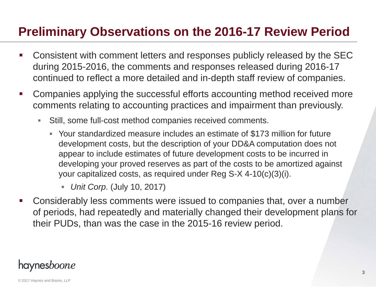# **Preliminary Observations on the 2016-17 Review Period**

- Consistent with comment letters and responses publicly released by the SEC during 2015-2016, the comments and responses released during 2016-17 continued to reflect a more detailed and in-depth staff review of companies.
- $\mathcal{L}(\mathcal{L})$  Companies applying the successful efforts accounting method received more comments relating to accounting practices and impairment than previously.
	- $\mathcal{L}_{\mathcal{A}}$  Still, some full-cost method companies received comments.
		- Your standardized measure includes an estimate of \$173 million for future development costs, but the description of your DD&A computation does not appear to include estimates of future development costs to be incurred in developing your proved reserves as part of the costs to be amortized against your capitalized costs, as required under Reg S-X 4-10(c)(3)(i).
			- D. *Unit Corp*. (July 10, 2017)
- $\mathcal{L}_{\mathcal{A}}$  Considerably less comments were issued to companies that, over a number of periods, had repeatedly and materially changed their development plans for their PUDs, than was the case in the 2015-16 review period.

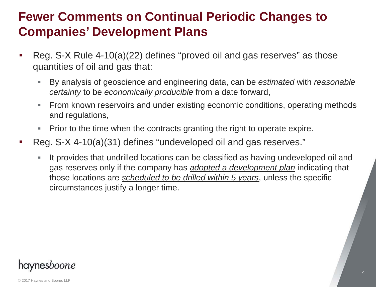### **Fewer Comments on Continual Periodic Changes to Companies' Development Plans**

- Reg. S-X Rule 4-10(a)(22) defines "proved oil and gas reserves" as those quantities of oil and gas that:
	- $\blacksquare$  By analysis of geoscience and engineering data, can be *estimated* with *reasonable certainty* to be *economically producible* from a date forward,
	- $\mathcal{L}_{\mathcal{A}}$  From known reservoirs and under existing economic conditions, operating methods and regulations,
	- $\mathcal{L}_{\mathcal{A}}$ Prior to the time when the contracts granting the right to operate expire.
- $\mathcal{L}(\mathcal{L})$  Reg. S-X 4-10(a)(31) defines "undeveloped oil and gas reserves."
	- $\blacksquare$  It provides that undrilled locations can be classified as having undeveloped oil and gas reserves only if the company has *adopted a development plan* indicating that those locations are *scheduled to be drilled within 5 years*, unless the specific circumstances justify a longer time.

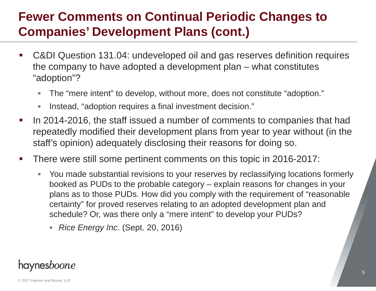# **Fewer Comments on Continual Periodic Changes to Companies' Development Plans (cont.)**

- C&DI Question 131.04: undeveloped oil and gas reserves definition requires the company to have adopted a development plan – what constitutes "adoption"?
	- $\blacksquare$ The "mere intent" to develop, without more, does not constitute "adoption."
	- $\mathbb{R}^n$ Instead, "adoption requires a final investment decision."
- $\mathcal{L}_{\mathcal{A}}$  In 2014-2016, the staff issued a number of comments to companies that had repeatedly modified their development plans from year to year without (in the staff's opinion) adequately disclosing their reasons for doing so.
- $\mathcal{L}_{\mathcal{A}}$  There were still some pertinent comments on this topic in 2016-2017:
	- $\mathbb{R}^n$  You made substantial revisions to your reserves by reclassifying locations formerly booked as PUDs to the probable category – explain reasons for changes in your plans as to those PUDs. How did you comply with the requirement of "reasonable certainty" for proved reserves relating to an adopted development plan and schedule? Or, was there only a "mere intent" to develop your PUDs?
		- *Rice Energy Inc*. (Sept. 20, 2016)

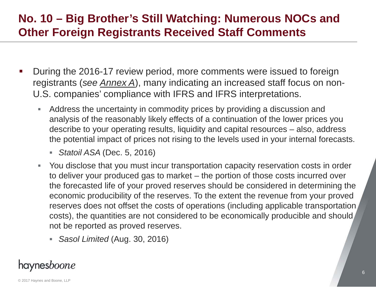### **No. 10 – Big Brother's Still Watching: Numerous NOCs and Other Foreign Registrants Received Staff Comments**

- $\mathcal{L}_{\mathcal{A}}$  During the 2016-17 review period, more comments were issued to foreign registrants (*see Annex A*), many indicating an increased staff focus on non-U.S. companies' compliance with IFRS and IFRS interpretations.
	- $\mathcal{L}_{\mathcal{A}}$  Address the uncertainty in commodity prices by providing a discussion and analysis of the reasonably likely effects of a continuation of the lower prices you describe to your operating results, liquidity and capital resources – also, address the potential impact of prices not rising to the levels used in your internal forecasts.
		- *Statoil ASA* (Dec. 5, 2016)
	- $\mathbb{R}^n$  You disclose that you must incur transportation capacity reservation costs in order to deliver your produced gas to market – the portion of those costs incurred over the forecasted life of your proved reserves should be considered in determining the economic producibility of the reserves. To the extent the revenue from your proved reserves does not offset the costs of operations (including applicable transportation costs), the quantities are not considered to be economically producible and should not be reported as proved reserves.
		- *Sasol Limited* (Aug. 30, 2016)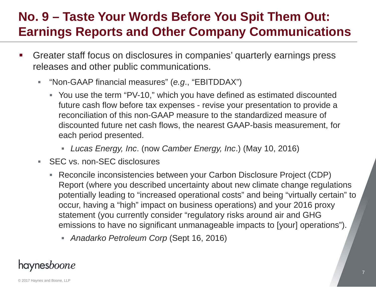# **No. 9 – Taste Your Words Before You Spit Them Out: Earnings Reports and Other Company Communications**

- Greater staff focus on disclosures in companies' quarterly earnings press releases and other public communications.
	- ×. "Non-GAAP financial measures" (*e.g*., "EBITDDAX")
		- You use the term "PV-10," which you have defined as estimated discounted future cash flow before tax expenses - revise your presentation to provide a reconciliation of this non-GAAP measure to the standardized measure of discounted future net cash flows, the nearest GAAP-basis measurement, for each period presented.
			- *Lucas Energy, Inc*. (now *Camber Energy, Inc*.) (May 10, 2016)
	- a. SEC vs. non-SEC disclosures
		- Reconcile inconsistencies between your Carbon Disclosure Project (CDP) Report (where you described uncertainty about new climate change regulations potentially leading to "increased operational costs" and being "virtually certain" to occur, having a "high" impact on business operations) and your 2016 proxy statement (you currently consider "regulatory risks around air and GHG emissions to have no significant unmanageable impacts to [your] operations").
			- *Anadarko Petroleum Corp* (Sept 16, 2016)

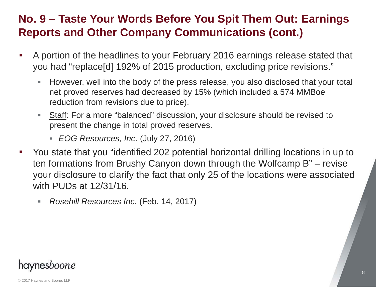### **No. 9 – Taste Your Words Before You Spit Them Out: Earnings Reports and Other Company Communications (cont.)**

- A portion of the headlines to your February 2016 earnings release stated that you had "replace[d] 192% of 2015 production, excluding price revisions."
	- $\blacksquare$  However, well into the body of the press release, you also disclosed that your total net proved reserves had decreased by 15% (which included a 574 MMBoe reduction from revisions due to price).
	- a. Staff: For a more "balanced" discussion, your disclosure should be revised to present the change in total proved reserves.
		- *EOG Resources, Inc*. (July 27, 2016)
- You state that you "identified 202 potential horizontal drilling locations in up to ten formations from Brushy Canyon down through the Wolfcamp B" – revise your disclosure to clarify the fact that only 25 of the locations were associated with PUDs at 12/31/16.
	- $\blacksquare$ *Rosehill Resources Inc*. (Feb. 14, 2017)

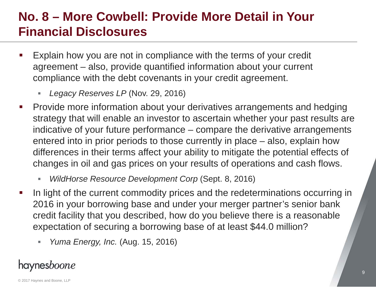# **No. 8 – More Cowbell: Provide More Detail in Your Financial Disclosures**

- Explain how you are not in compliance with the terms of your credit agreement – also, provide quantified information about your current compliance with the debt covenants in your credit agreement.
	- *Legacy Reserves LP* (Nov. 29, 2016)
- $\mathcal{L}_{\mathcal{A}}$  Provide more information about your derivatives arrangements and hedging strategy that will enable an investor to ascertain whether your past results are indicative of your future performance – compare the derivative arrangements entered into in prior periods to those currently in place – also, explain how differences in their terms affect your ability to mitigate the potential effects of changes in oil and gas prices on your results of operations and cash flows.
	- $\blacksquare$ *WildHorse Resource Development Corp* (Sept. 8, 2016)
- In light of the current commodity prices and the redeterminations occurring in 2016 in your borrowing base and under your merger partner's senior bank credit facility that you described, how do you believe there is a reasonable expectation of securing a borrowing base of at least \$44.0 million?
	- $\blacksquare$ *Yuma Energy, Inc.* (Aug. 15, 2016)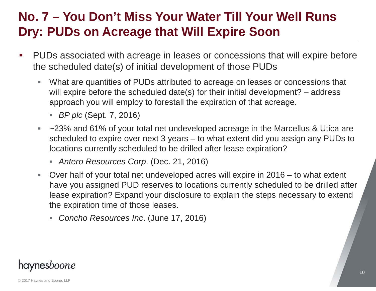# **No. 7 – You Don't Miss Your Water Till Your Well Runs Dry: PUDs on Acreage that Will Expire Soon**

- PUDs associated with acreage in leases or concessions that will expire before the scheduled date(s) of initial development of those PUDs
	- $\blacksquare$  What are quantities of PUDs attributed to acreage on leases or concessions that will expire before the scheduled date(s) for their initial development? – address approach you will employ to forestall the expiration of that acreage.
		- *BP plc* (Sept. 7, 2016)
	- $\mathcal{L}_{\mathcal{A}}$  ~23% and 61% of your total net undeveloped acreage in the Marcellus & Utica are scheduled to expire over next 3 years – to what extent did you assign any PUDs to locations currently scheduled to be drilled after lease expiration?
		- *Antero Resources Corp*. (Dec. 21, 2016)
	- ×. Over half of your total net undeveloped acres will expire in 2016 – to what extent have you assigned PUD reserves to locations currently scheduled to be drilled after lease expiration? Expand your disclosure to explain the steps necessary to extend the expiration time of those leases.
		- *Concho Resources Inc*. (June 17, 2016)

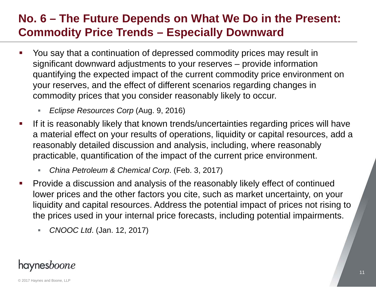### **No. 6 – The Future Depends on What We Do in the Present: Commodity Price Trends – Especially Downward**

- $\mathcal{L}_{\mathcal{A}}$  You say that a continuation of depressed commodity prices may result in significant downward adjustments to your reserves – provide information quantifying the expected impact of the current commodity price environment on your reserves, and the effect of different scenarios regarding changes in commodity prices that you consider reasonably likely to occur.
	- ш *Eclipse Resources Corp* (Aug. 9, 2016)
- $\mathcal{L}_{\mathcal{A}}$  If it is reasonably likely that known trends/uncertainties regarding prices will have a material effect on your results of operations, liquidity or capital resources, add a reasonably detailed discussion and analysis, including, where reasonably practicable, quantification of the impact of the current price environment.
	- *China Petroleum & Chemical Corp*. (Feb. 3, 2017)
- $\mathcal{C}^{\mathcal{A}}$  Provide a discussion and analysis of the reasonably likely effect of continued lower prices and the other factors you cite, such as market uncertainty, on your liquidity and capital resources. Address the potential impact of prices not rising to the prices used in your internal price forecasts, including potential impairments.
	- $\blacksquare$ *CNOOC Ltd*. (Jan. 12, 2017)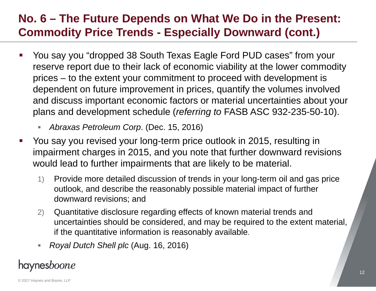### **No. 6 – The Future Depends on What We Do in the Present: Commodity Price Trends - Especially Downward (cont.)**

- You say you "dropped 38 South Texas Eagle Ford PUD cases" from your reserve report due to their lack of economic viability at the lower commodity prices – to the extent your commitment to proceed with development is dependent on future improvement in prices, quantify the volumes involved and discuss important economic factors or material uncertainties about your plans and development schedule (*referring to* FASB ASC 932-235-50-10).
	- *Abraxas Petroleum Corp*. (Dec. 15, 2016)
- $\mathcal{L}(\mathcal{L})$  You say you revised your long-term price outlook in 2015, resulting in impairment charges in 2015, and you note that further downward revisions would lead to further impairments that are likely to be material.
	- 1) Provide more detailed discussion of trends in your long-term oil and gas price outlook, and describe the reasonably possible material impact of further downward revisions; and
	- 2) Quantitative disclosure regarding effects of known material trends and uncertainties should be considered, and may be required to the extent material, if the quantitative information is reasonably available.
	- ш *Royal Dutch Shell plc* (Aug. 16, 2016)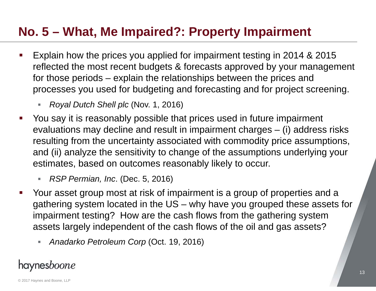# **No. 5 – What, Me Impaired?: Property Impairment**

- Explain how the prices you applied for impairment testing in 2014 & 2015 reflected the most recent budgets & forecasts approved by your management for those periods – explain the relationships between the prices and processes you used for budgeting and forecasting and for project screening.
	- D. *Royal Dutch Shell plc* (Nov. 1, 2016)
- $\mathcal{L}(\mathcal{L})$  and  $\mathcal{L}(\mathcal{L})$  and  $\mathcal{L}(\mathcal{L})$  You say it is reasonably possible that prices used in future impairment evaluations may decline and result in impairment charges – (i) address risks resulting from the uncertainty associated with commodity price assumptions, and (ii) analyze the sensitivity to change of the assumptions underlying your estimates, based on outcomes reasonably likely to occur.
	- $\blacksquare$ *RSP Permian, Inc*. (Dec. 5, 2016)
- Your asset group most at risk of impairment is a group of properties and a gathering system located in the US – why have you grouped these assets for impairment testing? How are the cash flows from the gathering system assets largely independent of the cash flows of the oil and gas assets?
	- $\blacksquare$ *Anadarko Petroleum Corp* (Oct. 19, 2016)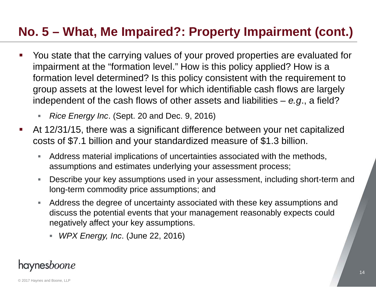# **No. 5 – What, Me Impaired?: Property Impairment (cont.)**

- You state that the carrying values of your proved properties are evaluated for impairment at the "formation level." How is this policy applied? How is a formation level determined? Is this policy consistent with the requirement to group assets at the lowest level for which identifiable cash flows are largely independent of the cash flows of other assets and liabilities – *e.g*., a field?
	- □ *Rice Energy Inc*. (Sept. 20 and Dec. 9, 2016)
- At 12/31/15, there was a significant difference between your net capitalized costs of \$7.1 billion and your standardized measure of \$1.3 billion.
	- $\mathcal{L}_{\mathcal{A}}$  Address material implications of uncertainties associated with the methods, assumptions and estimates underlying your assessment process;
	- ×. Describe your key assumptions used in your assessment, including short-term and long-term commodity price assumptions; and
	- $\blacksquare$  Address the degree of uncertainty associated with these key assumptions and discuss the potential events that your management reasonably expects could negatively affect your key assumptions.
		- *WPX Energy, Inc*. (June 22, 2016)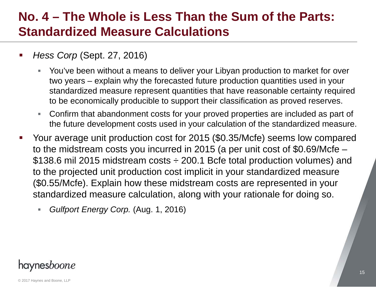### **No. 4 – The Whole is Less Than the Sum of the Parts: Standardized Measure Calculations**

- *Hess Corp* (Sept. 27, 2016)
	- г You've been without a means to deliver your Libyan production to market for over two years – explain why the forecasted future production quantities used in your standardized measure represent quantities that have reasonable certainty required to be economically producible to support their classification as proved reserves.
	- $\blacksquare$  Confirm that abandonment costs for your proved properties are included as part of the future development costs used in your calculation of the standardized measure.
- Your average unit production cost for 2015 (\$0.35/Mcfe) seems low compared to the midstream costs you incurred in 2015 (a per unit cost of \$0.69/Mcfe – \$138.6 mil 2015 midstream costs ÷ 200.1 Bcfe total production volumes) and to the projected unit production cost implicit in your standardized measure (\$0.55/Mcfe). Explain how these midstream costs are represented in your standardized measure calculation, along with your rationale for doing so.
	- □ *Gulfport Energy Corp.* (Aug. 1, 2016)

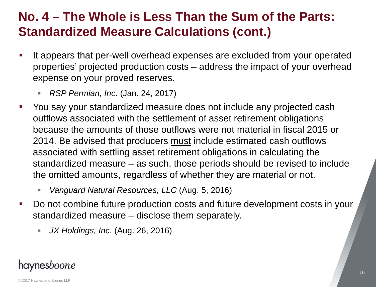# **No. 4 – The Whole is Less Than the Sum of the Parts: Standardized Measure Calculations (cont.)**

- It appears that per-well overhead expenses are excluded from your operated properties' projected production costs – address the impact of your overhead expense on your proved reserves.
	- *RSP Permian, Inc*. (Jan. 24, 2017)
- $\mathcal{L}(\mathcal{L})$  You say your standardized measure does not include any projected cash outflows associated with the settlement of asset retirement obligations because the amounts of those outflows were not material in fiscal 2015 or 2014. Be advised that producers must include estimated cash outflows associated with settling asset retirement obligations in calculating the standardized measure – as such, those periods should be revised to include the omitted amounts, regardless of whether they are material or not.
	- *Vanguard Natural Resources, LLC* (Aug. 5, 2016)
- $\mathcal{L}_{\mathcal{A}}$  Do not combine future production costs and future development costs in your standardized measure – disclose them separately.
	- $\blacksquare$ *JX Holdings, Inc*. (Aug. 26, 2016)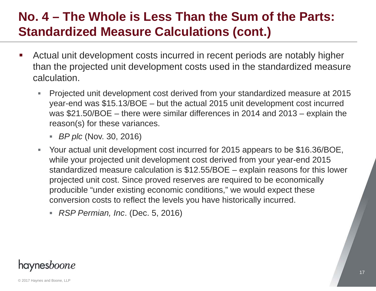# **No. 4 – The Whole is Less Than the Sum of the Parts: Standardized Measure Calculations (cont.)**

- Actual unit development costs incurred in recent periods are notably higher than the projected unit development costs used in the standardized measure calculation.
	- $\blacksquare$  Projected unit development cost derived from your standardized measure at 2015 year-end was \$15.13/BOE – but the actual 2015 unit development cost incurred was \$21.50/BOE – there were similar differences in 2014 and 2013 – explain the reason(s) for these variances.
		- *BP plc* (Nov. 30, 2016)
	- $\mathbb{Z}^+$  Your actual unit development cost incurred for 2015 appears to be \$16.36/BOE, while your projected unit development cost derived from your year-end 2015 standardized measure calculation is \$12.55/BOE – explain reasons for this lower projected unit cost. Since proved reserves are required to be economically producible "under existing economic conditions," we would expect these conversion costs to reflect the levels you have historically incurred.
		- *RSP Permian, Inc*. (Dec. 5, 2016)

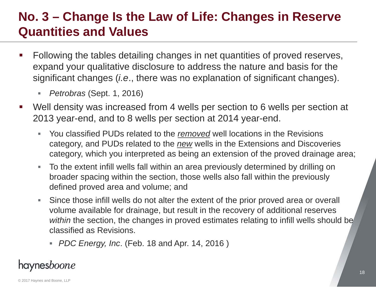# **No. 3 – Change Is the Law of Life: Changes in Reserve Quantities and Values**

- Following the tables detailing changes in net quantities of proved reserves, expand your qualitative disclosure to address the nature and basis for the significant changes (*i.e*., there was no explanation of significant changes).
	- *Petrobras* (Sept. 1, 2016)
- $\mathcal{L}(\mathcal{L})$  Well density was increased from 4 wells per section to 6 wells per section at 2013 year-end, and to 8 wells per section at 2014 year-end.
	- $\mathcal{L}_{\mathcal{A}}$  You classified PUDs related to the *removed* well locations in the Revisions category, and PUDs related to the *new* wells in the Extensions and Discoveries category, which you interpreted as being an extension of the proved drainage area;
	- $\mathcal{L}_{\mathcal{A}}$  To the extent infill wells fall within an area previously determined by drilling on broader spacing within the section, those wells also fall within the previously defined proved area and volume; and
	- $\blacksquare$  Since those infill wells do not alter the extent of the prior proved area or overall volume available for drainage, but result in the recovery of additional reserves *within* the section, the changes in proved estimates relating to infill wells should be classified as Revisions.
		- *PDC Energy, Inc*. (Feb. 18 and Apr. 14, 2016 )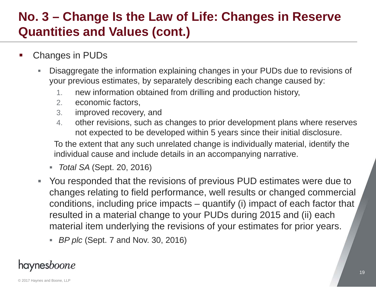# **No. 3 – Change Is the Law of Life: Changes in Reserve Quantities and Values (cont.)**

- Changes in PUDs
	- г Disaggregate the information explaining changes in your PUDs due to revisions of your previous estimates, by separately describing each change caused by:
		- 1.new information obtained from drilling and production history,
		- 2.economic factors,
		- 3. improved recovery, and
		- 4. other revisions, such as changes to prior development plans where reserves not expected to be developed within 5 years since their initial disclosure.

To the extent that any such unrelated change is individually material, identify the individual cause and include details in an accompanying narrative.

- *Total SA* (Sept. 20, 2016)
- $\mathbb{R}^n$  You responded that the revisions of previous PUD estimates were due to changes relating to field performance, well results or changed commercial conditions, including price impacts – quantify (i) impact of each factor that resulted in a material change to your PUDs during 2015 and (ii) each material item underlying the revisions of your estimates for prior years.
	- *BP plc* (Sept. 7 and Nov. 30, 2016)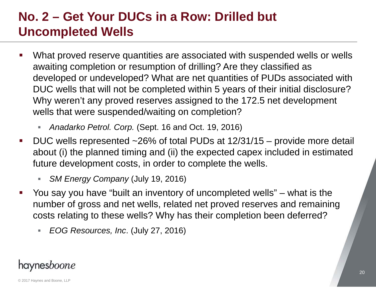# **No. 2 – Get Your DUCs in a Row: Drilled but Uncompleted Wells**

- What proved reserve quantities are associated with suspended wells or wells awaiting completion or resumption of drilling? Are they classified as developed or undeveloped? What are net quantities of PUDs associated with DUC wells that will not be completed within 5 years of their initial disclosure? Why weren't any proved reserves assigned to the 172.5 net development wells that were suspended/waiting on completion?
	- $\blacksquare$ *Anadarko Petrol. Corp.* (Sept. 16 and Oct. 19, 2016)
- $\mathcal{L}(\mathcal{L})$  DUC wells represented ~26% of total PUDs at 12/31/15 – provide more detail about (i) the planned timing and (ii) the expected capex included in estimated future development costs, in order to complete the wells.
	- *SM Energy Company* (July 19, 2016)
- You say you have "built an inventory of uncompleted wells" – what is the number of gross and net wells, related net proved reserves and remaining costs relating to these wells? Why has their completion been deferred?
	- $\blacksquare$ *EOG Resources, Inc*. (July 27, 2016)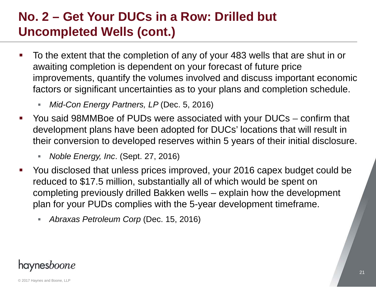# **No. 2 – Get Your DUCs in a Row: Drilled but Uncompleted Wells (cont.)**

- To the extent that the completion of any of your 483 wells that are shut in or awaiting completion is dependent on your forecast of future price improvements, quantify the volumes involved and discuss important economic factors or significant uncertainties as to your plans and completion schedule.
	- г *Mid-Con Energy Partners, LP* (Dec. 5, 2016)
- $\mathcal{L}(\mathcal{L})$  and  $\mathcal{L}(\mathcal{L})$  and  $\mathcal{L}(\mathcal{L})$  You said 98MMBoe of PUDs were associated with your DUCs – confirm that development plans have been adopted for DUCs' locations that will result in their conversion to developed reserves within 5 years of their initial disclosure.
	- $\mathcal{L}_{\mathcal{A}}$ *Noble Energy, Inc*. (Sept. 27, 2016)
- $\blacksquare$  You disclosed that unless prices improved, your 2016 capex budget could be reduced to \$17.5 million, substantially all of which would be spent on completing previously drilled Bakken wells – explain how the development plan for your PUDs complies with the 5-year development timeframe.
	- L. *Abraxas Petroleum Corp* (Dec. 15, 2016)

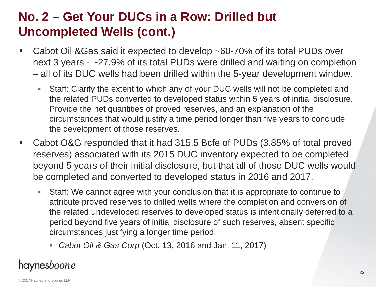# **No. 2 – Get Your DUCs in a Row: Drilled but Uncompleted Wells (cont.)**

- $\mathcal{L}_{\mathcal{A}}$  Cabot Oil &Gas said it expected to develop ~60-70% of its total PUDs over next 3 years - ~27.9% of its total PUDs were drilled and waiting on completion all of its DUC wells had been drilled within the 5-year development window.
	- $\mathcal{L}_{\mathcal{A}}$ Staff: Clarify the extent to which any of your DUC wells will not be completed and the related PUDs converted to developed status within 5 years of initial disclosure. Provide the net quantities of proved reserves, and an explanation of the circumstances that would justify a time period longer than five years to conclude the development of those reserves.
- $\mathcal{L}_{\mathcal{A}}$  Cabot O&G responded that it had 315.5 Bcfe of PUDs (3.85% of total proved reserves) associated with its 2015 DUC inventory expected to be completed beyond 5 years of their initial disclosure, but that all of those DUC wells would be completed and converted to developed status in 2016 and 2017.
	- $\blacksquare$ Staff: We cannot agree with your conclusion that it is appropriate to continue to attribute proved reserves to drilled wells where the completion and conversion of the related undeveloped reserves to developed status is intentionally deferred to a period beyond five years of initial disclosure of such reserves, absent specific circumstances justifying a longer time period.
		- *Cabot Oil & Gas Corp* (Oct. 13, 2016 and Jan. 11, 2017)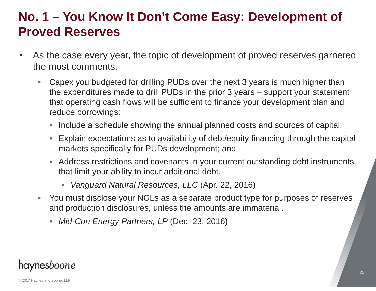# **No. 1 – You Know It Don't Come Easy: Development of Proved Reserves**

- As the case every year, the topic of development of proved reserves garnered the most comments.
	- $\blacksquare$  Capex you budgeted for drilling PUDs over the next 3 years is much higher than the expenditures made to drill PUDs in the prior 3 years – support your statement that operating cash flows will be sufficient to finance your development plan and reduce borrowings:
		- Include a schedule showing the annual planned costs and sources of capital;
		- Explain expectations as to availability of debt/equity financing through the capital markets specifically for PUDs development; and
		- Address restrictions and covenants in your current outstanding debt instruments that limit your ability to incur additional debt.
			- *Vanguard Natural Resources, LLC* (Apr. 22, 2016)
	- You must disclose your NGLs as a separate product type for purposes of reserves and production disclosures, unless the amounts are immaterial.
		- *Mid-Con Energy Partners, LP* (Dec. 23, 2016)

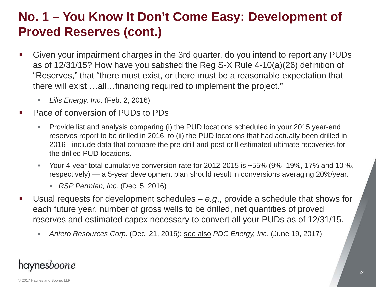# **No. 1 – You Know It Don't Come Easy: Development of Proved Reserves (cont.)**

- $\mathcal{L}_{\mathcal{A}}$  Given your impairment charges in the 3rd quarter, do you intend to report any PUDs as of 12/31/15? How have you satisfied the Reg S-X Rule 4-10(a)(26) definition of "Reserves," that "there must exist, or there must be a reasonable expectation that there will exist …all…financing required to implement the project."
	- ▉ *Lilis Energy, Inc*. (Feb. 2, 2016)
- н Pace of conversion of PUDs to PDs
	- $\blacksquare$  Provide list and analysis comparing (i) the PUD locations scheduled in your 2015 year-end reserves report to be drilled in 2016, to (ii) the PUD locations that had actually been drilled in 2016 - include data that compare the pre-drill and post-drill estimated ultimate recoveries for the drilled PUD locations.
	- $\blacksquare$  Your 4-year total cumulative conversion rate for 2012-2015 is ~55% (9%, 19%, 17% and 10 %, respectively) — a 5-year development plan should result in conversions averaging 20%/year.
		- *RSP Permian, Inc*. (Dec. 5, 2016)
- н Usual requests for development schedules – *e.g*., provide a schedule that shows for each future year, number of gross wells to be drilled, net quantities of proved reserves and estimated capex necessary to convert all your PUDs as of 12/31/15.
	- $\blacksquare$ *Antero Resources Corp*. (Dec. 21, 2016): see also *PDC Energy, Inc*. (June 19, 2017)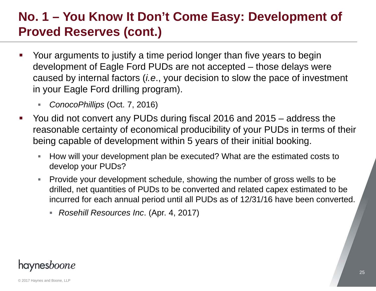# **No. 1 – You Know It Don't Come Easy: Development of Proved Reserves (cont.)**

- Your arguments to justify a time period longer than five years to begin development of Eagle Ford PUDs are not accepted – those delays were caused by internal factors (*i.e*., your decision to slow the pace of investment in your Eagle Ford drilling program).
	- г *ConocoPhillips* (Oct. 7, 2016)
- $\mathcal{L}(\mathcal{L})$  and  $\mathcal{L}(\mathcal{L})$  and  $\mathcal{L}(\mathcal{L})$  You did not convert any PUDs during fiscal 2016 and 2015 – address the reasonable certainty of economical producibility of your PUDs in terms of their being capable of development within 5 years of their initial booking.
	- $\mathcal{L}_{\mathcal{A}}$  How will your development plan be executed? What are the estimated costs to develop your PUDs?
	- ×. Provide your development schedule, showing the number of gross wells to be drilled, net quantities of PUDs to be converted and related capex estimated to be incurred for each annual period until all PUDs as of 12/31/16 have been converted.
		- *Rosehill Resources Inc*. (Apr. 4, 2017)

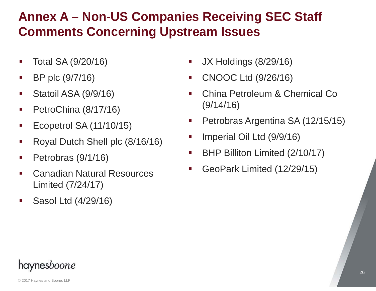# **Annex A – Non-US Companies Receiving SEC Staff Comments Concerning Upstream Issues**

- Total SA (9/20/16)
- $\mathcal{L}_{\mathcal{A}}$ BP plc (9/7/16)
- $\mathcal{L}_{\mathcal{A}}$ Statoil ASA (9/9/16)
- $\mathcal{L}_{\mathcal{A}}$ PetroChina (8/17/16)
- $\mathcal{L}_{\mathcal{A}}$ Ecopetrol SA (11/10/15)
- Royal Dutch Shell plc (8/16/16)
- $\mathcal{L}_{\mathcal{A}}$ Petrobras (9/1/16)
- $\mathcal{L}_{\mathcal{A}}$  Canadian Natural ResourcesLimited (7/24/17)
- $\mathcal{L}(\mathcal{L})$ Sasol Ltd (4/29/16)
- JX Holdings (8/29/16)
- CNOOC Ltd (9/26/16)
- $\mathcal{L}(\mathcal{L})$  and  $\mathcal{L}(\mathcal{L})$  and  $\mathcal{L}(\mathcal{L})$  China Petroleum & Chemical Co (9/14/16)
- Petrobras Argentina SA (12/15/15)
- $\mathcal{L}(\mathcal{L})$ Imperial Oil Ltd (9/9/16)
- $\mathcal{L}(\mathcal{L})$ BHP Billiton Limited (2/10/17)
- GeoPark Limited (12/29/15)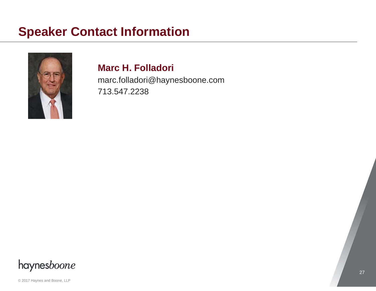# **Speaker Contact Information**



#### **Marc H. Folladori**

marc.folladori@haynesboone.com 713.547.2238